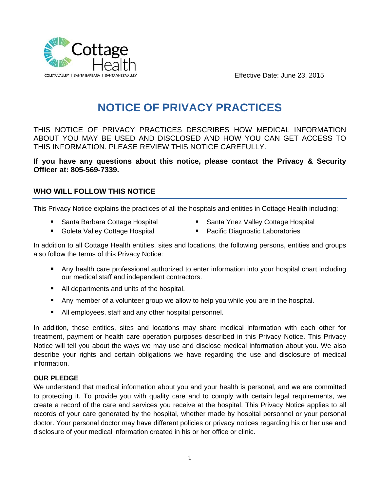

Effective Date: June 23, 2015

# **NOTICE OF PRIVACY PRACTICES**

THIS NOTICE OF PRIVACY PRACTICES DESCRIBES HOW MEDICAL INFORMATION ABOUT YOU MAY BE USED AND DISCLOSED AND HOW YOU CAN GET ACCESS TO THIS INFORMATION. PLEASE REVIEW THIS NOTICE CAREFULLY.

**If you have any questions about this notice, please contact the Privacy & Security Officer at: 805-569-7339.** 

## **WHO WILL FOLLOW THIS NOTICE**

This Privacy Notice explains the practices of all the hospitals and entities in Cottage Health including:

- Santa Barbara Cottage Hospital
- Santa Ynez Valley Cottage Hospital
- **Goleta Valley Cottage Hospital**
- **Pacific Diagnostic Laboratories**
- In addition to all Cottage Health entities, sites and locations, the following persons, entities and groups also follow the terms of this Privacy Notice:
	- **Any health care professional authorized to enter information into your hospital chart including** our medical staff and independent contractors.
	- All departments and units of the hospital.
	- Any member of a volunteer group we allow to help you while you are in the hospital.
	- All employees, staff and any other hospital personnel.

In addition, these entities, sites and locations may share medical information with each other for treatment, payment or health care operation purposes described in this Privacy Notice. This Privacy Notice will tell you about the ways we may use and disclose medical information about you. We also describe your rights and certain obligations we have regarding the use and disclosure of medical information.

#### **OUR PLEDGE**

We understand that medical information about you and your health is personal, and we are committed to protecting it. To provide you with quality care and to comply with certain legal requirements, we create a record of the care and services you receive at the hospital. This Privacy Notice applies to all records of your care generated by the hospital, whether made by hospital personnel or your personal doctor. Your personal doctor may have different policies or privacy notices regarding his or her use and disclosure of your medical information created in his or her office or clinic.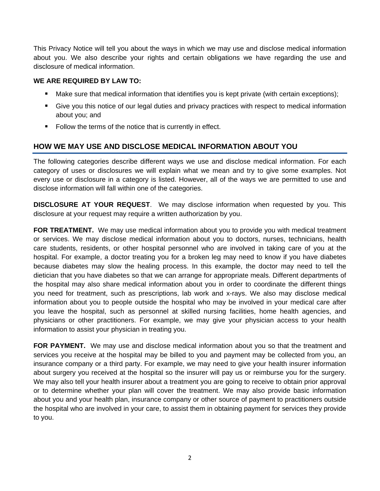This Privacy Notice will tell you about the ways in which we may use and disclose medical information about you. We also describe your rights and certain obligations we have regarding the use and disclosure of medical information.

#### **WE ARE REQUIRED BY LAW TO:**

- Make sure that medical information that identifies you is kept private (with certain exceptions);
- Give you this notice of our legal duties and privacy practices with respect to medical information about you; and
- Follow the terms of the notice that is currently in effect.

## **HOW WE MAY USE AND DISCLOSE MEDICAL INFORMATION ABOUT YOU**

The following categories describe different ways we use and disclose medical information. For each category of uses or disclosures we will explain what we mean and try to give some examples. Not every use or disclosure in a category is listed. However, all of the ways we are permitted to use and disclose information will fall within one of the categories.

**DISCLOSURE AT YOUR REQUEST**. We may disclose information when requested by you. This disclosure at your request may require a written authorization by you.

**FOR TREATMENT.** We may use medical information about you to provide you with medical treatment or services. We may disclose medical information about you to doctors, nurses, technicians, health care students, residents, or other hospital personnel who are involved in taking care of you at the hospital. For example, a doctor treating you for a broken leg may need to know if you have diabetes because diabetes may slow the healing process. In this example, the doctor may need to tell the dietician that you have diabetes so that we can arrange for appropriate meals. Different departments of the hospital may also share medical information about you in order to coordinate the different things you need for treatment, such as prescriptions, lab work and x-rays. We also may disclose medical information about you to people outside the hospital who may be involved in your medical care after you leave the hospital, such as personnel at skilled nursing facilities, home health agencies, and physicians or other practitioners. For example, we may give your physician access to your health information to assist your physician in treating you.

**FOR PAYMENT.** We may use and disclose medical information about you so that the treatment and services you receive at the hospital may be billed to you and payment may be collected from you, an insurance company or a third party. For example, we may need to give your health insurer information about surgery you received at the hospital so the insurer will pay us or reimburse you for the surgery. We may also tell your health insurer about a treatment you are going to receive to obtain prior approval or to determine whether your plan will cover the treatment. We may also provide basic information about you and your health plan, insurance company or other source of payment to practitioners outside the hospital who are involved in your care, to assist them in obtaining payment for services they provide to you.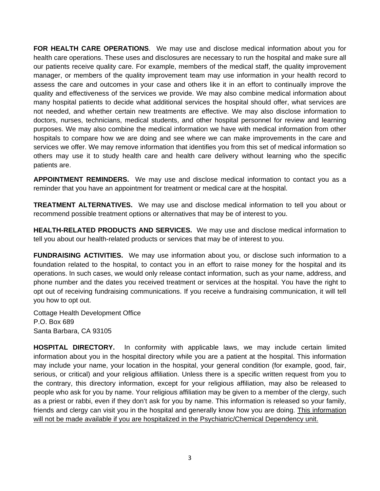**FOR HEALTH CARE OPERATIONS**. We may use and disclose medical information about you for health care operations. These uses and disclosures are necessary to run the hospital and make sure all our patients receive quality care. For example, members of the medical staff, the quality improvement manager, or members of the quality improvement team may use information in your health record to assess the care and outcomes in your case and others like it in an effort to continually improve the quality and effectiveness of the services we provide. We may also combine medical information about many hospital patients to decide what additional services the hospital should offer, what services are not needed, and whether certain new treatments are effective. We may also disclose information to doctors, nurses, technicians, medical students, and other hospital personnel for review and learning purposes. We may also combine the medical information we have with medical information from other hospitals to compare how we are doing and see where we can make improvements in the care and services we offer. We may remove information that identifies you from this set of medical information so others may use it to study health care and health care delivery without learning who the specific patients are.

**APPOINTMENT REMINDERS.** We may use and disclose medical information to contact you as a reminder that you have an appointment for treatment or medical care at the hospital.

**TREATMENT ALTERNATIVES.** We may use and disclose medical information to tell you about or recommend possible treatment options or alternatives that may be of interest to you.

**HEALTH-RELATED PRODUCTS AND SERVICES.** We may use and disclose medical information to tell you about our health-related products or services that may be of interest to you.

**FUNDRAISING ACTIVITIES.** We may use information about you, or disclose such information to a foundation related to the hospital, to contact you in an effort to raise money for the hospital and its operations. In such cases, we would only release contact information, such as your name, address, and phone number and the dates you received treatment or services at the hospital. You have the right to opt out of receiving fundraising communications. If you receive a fundraising communication, it will tell you how to opt out.

Cottage Health Development Office P.O. Box 689 Santa Barbara, CA 93105

**HOSPITAL DIRECTORY.** In conformity with applicable laws, we may include certain limited information about you in the hospital directory while you are a patient at the hospital. This information may include your name, your location in the hospital, your general condition (for example, good, fair, serious, or critical) and your religious affiliation. Unless there is a specific written request from you to the contrary, this directory information, except for your religious affiliation, may also be released to people who ask for you by name. Your religious affiliation may be given to a member of the clergy, such as a priest or rabbi, even if they don't ask for you by name. This information is released so your family, friends and clergy can visit you in the hospital and generally know how you are doing. This information will not be made available if you are hospitalized in the Psychiatric/Chemical Dependency unit.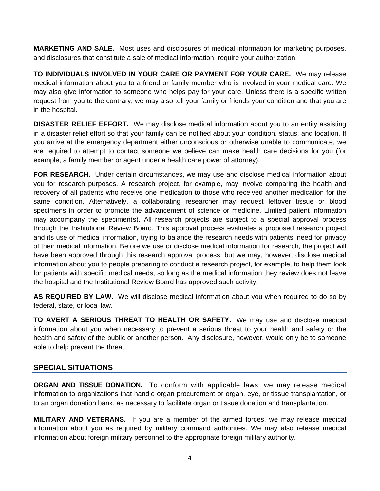**MARKETING AND SALE.** Most uses and disclosures of medical information for marketing purposes, and disclosures that constitute a sale of medical information, require your authorization.

**TO INDIVIDUALS INVOLVED IN YOUR CARE OR PAYMENT FOR YOUR CARE.** We may release medical information about you to a friend or family member who is involved in your medical care. We may also give information to someone who helps pay for your care. Unless there is a specific written request from you to the contrary, we may also tell your family or friends your condition and that you are in the hospital.

**DISASTER RELIEF EFFORT.** We may disclose medical information about you to an entity assisting in a disaster relief effort so that your family can be notified about your condition, status, and location. If you arrive at the emergency department either unconscious or otherwise unable to communicate, we are required to attempt to contact someone we believe can make health care decisions for you (for example, a family member or agent under a health care power of attorney).

**FOR RESEARCH.** Under certain circumstances, we may use and disclose medical information about you for research purposes. A research project, for example, may involve comparing the health and recovery of all patients who receive one medication to those who received another medication for the same condition. Alternatively, a collaborating researcher may request leftover tissue or blood specimens in order to promote the advancement of science or medicine. Limited patient information may accompany the specimen(s). All research projects are subject to a special approval process through the Institutional Review Board. This approval process evaluates a proposed research project and its use of medical information, trying to balance the research needs with patients' need for privacy of their medical information. Before we use or disclose medical information for research, the project will have been approved through this research approval process; but we may, however, disclose medical information about you to people preparing to conduct a research project, for example, to help them look for patients with specific medical needs, so long as the medical information they review does not leave the hospital and the Institutional Review Board has approved such activity.

**AS REQUIRED BY LAW.** We will disclose medical information about you when required to do so by federal, state, or local law.

**TO AVERT A SERIOUS THREAT TO HEALTH OR SAFETY.** We may use and disclose medical information about you when necessary to prevent a serious threat to your health and safety or the health and safety of the public or another person. Any disclosure, however, would only be to someone able to help prevent the threat.

#### **SPECIAL SITUATIONS**

**ORGAN AND TISSUE DONATION.** To conform with applicable laws, we may release medical information to organizations that handle organ procurement or organ, eye, or tissue transplantation, or to an organ donation bank, as necessary to facilitate organ or tissue donation and transplantation.

**MILITARY AND VETERANS.** If you are a member of the armed forces, we may release medical information about you as required by military command authorities. We may also release medical information about foreign military personnel to the appropriate foreign military authority.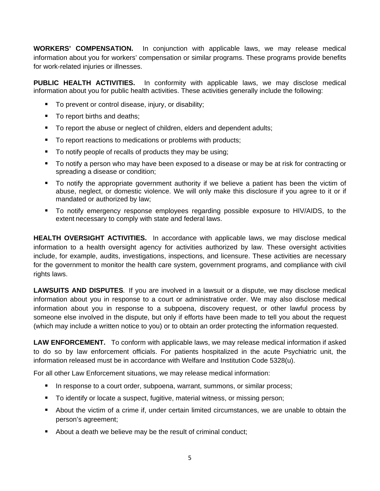**WORKERS' COMPENSATION.** In conjunction with applicable laws, we may release medical information about you for workers' compensation or similar programs. These programs provide benefits for work-related injuries or illnesses.

**PUBLIC HEALTH ACTIVITIES.** In conformity with applicable laws, we may disclose medical information about you for public health activities. These activities generally include the following:

- To prevent or control disease, injury, or disability;
- To report births and deaths;
- To report the abuse or neglect of children, elders and dependent adults;
- To report reactions to medications or problems with products;
- To notify people of recalls of products they may be using;
- To notify a person who may have been exposed to a disease or may be at risk for contracting or spreading a disease or condition;
- To notify the appropriate government authority if we believe a patient has been the victim of abuse, neglect, or domestic violence. We will only make this disclosure if you agree to it or if mandated or authorized by law;
- To notify emergency response employees regarding possible exposure to HIV/AIDS, to the extent necessary to comply with state and federal laws.

**HEALTH OVERSIGHT ACTIVITIES.** In accordance with applicable laws, we may disclose medical information to a health oversight agency for activities authorized by law. These oversight activities include, for example, audits, investigations, inspections, and licensure. These activities are necessary for the government to monitor the health care system, government programs, and compliance with civil rights laws.

**LAWSUITS AND DISPUTES.** If you are involved in a lawsuit or a dispute, we may disclose medical information about you in response to a court or administrative order. We may also disclose medical information about you in response to a subpoena, discovery request, or other lawful process by someone else involved in the dispute, but only if efforts have been made to tell you about the request (which may include a written notice to you) or to obtain an order protecting the information requested.

**LAW ENFORCEMENT.** To conform with applicable laws, we may release medical information if asked to do so by law enforcement officials. For patients hospitalized in the acute Psychiatric unit, the information released must be in accordance with Welfare and Institution Code 5328(u).

For all other Law Enforcement situations, we may release medical information:

- **IF** In response to a court order, subpoena, warrant, summons, or similar process;
- To identify or locate a suspect, fugitive, material witness, or missing person;
- About the victim of a crime if, under certain limited circumstances, we are unable to obtain the person's agreement;
- About a death we believe may be the result of criminal conduct;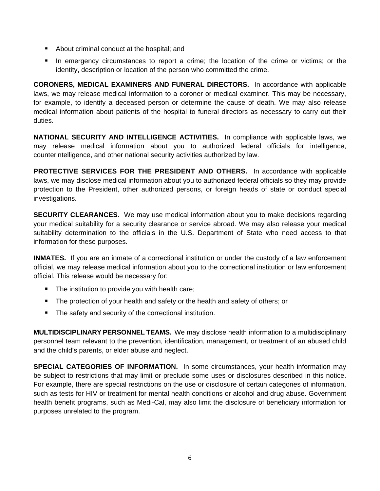- About criminal conduct at the hospital; and
- **In emergency circumstances to report a crime; the location of the crime or victims; or the** identity, description or location of the person who committed the crime.

**CORONERS, MEDICAL EXAMINERS AND FUNERAL DIRECTORS.** In accordance with applicable laws, we may release medical information to a coroner or medical examiner. This may be necessary, for example, to identify a deceased person or determine the cause of death. We may also release medical information about patients of the hospital to funeral directors as necessary to carry out their duties.

**NATIONAL SECURITY AND INTELLIGENCE ACTIVITIES.** In compliance with applicable laws, we may release medical information about you to authorized federal officials for intelligence, counterintelligence, and other national security activities authorized by law.

**PROTECTIVE SERVICES FOR THE PRESIDENT AND OTHERS.** In accordance with applicable laws, we may disclose medical information about you to authorized federal officials so they may provide protection to the President, other authorized persons, or foreign heads of state or conduct special investigations.

**SECURITY CLEARANCES**. We may use medical information about you to make decisions regarding your medical suitability for a security clearance or service abroad. We may also release your medical suitability determination to the officials in the U.S. Department of State who need access to that information for these purposes.

**INMATES.** If you are an inmate of a correctional institution or under the custody of a law enforcement official, we may release medical information about you to the correctional institution or law enforcement official. This release would be necessary for:

- **The institution to provide you with health care;**
- The protection of your health and safety or the health and safety of others; or
- **The safety and security of the correctional institution.**

**MULTIDISCIPLINARY PERSONNEL TEAMS.** We may disclose health information to a multidisciplinary personnel team relevant to the prevention, identification, management, or treatment of an abused child and the child's parents, or elder abuse and neglect.

**SPECIAL CATEGORIES OF INFORMATION.** In some circumstances, your health information may be subject to restrictions that may limit or preclude some uses or disclosures described in this notice. For example, there are special restrictions on the use or disclosure of certain categories of information, such as tests for HIV or treatment for mental health conditions or alcohol and drug abuse. Government health benefit programs, such as Medi-Cal, may also limit the disclosure of beneficiary information for purposes unrelated to the program.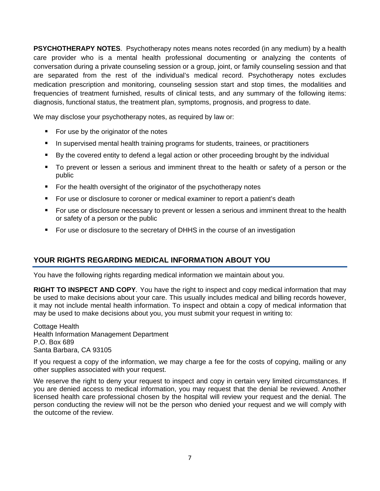**PSYCHOTHERAPY NOTES.** Psychotherapy notes means notes recorded (in any medium) by a health care provider who is a mental health professional documenting or analyzing the contents of conversation during a private counseling session or a group, joint, or family counseling session and that are separated from the rest of the individual's medical record. Psychotherapy notes excludes medication prescription and monitoring, counseling session start and stop times, the modalities and frequencies of treatment furnished, results of clinical tests, and any summary of the following items: diagnosis, functional status, the treatment plan, symptoms, prognosis, and progress to date.

We may disclose your psychotherapy notes, as required by law or:

- For use by the originator of the notes
- **IF** In supervised mental health training programs for students, trainees, or practitioners
- By the covered entity to defend a legal action or other proceeding brought by the individual
- To prevent or lessen a serious and imminent threat to the health or safety of a person or the public
- For the health oversight of the originator of the psychotherapy notes
- For use or disclosure to coroner or medical examiner to report a patient's death
- For use or disclosure necessary to prevent or lessen a serious and imminent threat to the health or safety of a person or the public
- For use or disclosure to the secretary of DHHS in the course of an investigation

## **YOUR RIGHTS REGARDING MEDICAL INFORMATION ABOUT YOU**

You have the following rights regarding medical information we maintain about you.

**RIGHT TO INSPECT AND COPY.** You have the right to inspect and copy medical information that may be used to make decisions about your care. This usually includes medical and billing records however, it may not include mental health information. To inspect and obtain a copy of medical information that may be used to make decisions about you, you must submit your request in writing to:

Cottage Health Health Information Management Department P.O. Box 689 Santa Barbara, CA 93105

If you request a copy of the information, we may charge a fee for the costs of copying, mailing or any other supplies associated with your request.

We reserve the right to deny your request to inspect and copy in certain very limited circumstances. If you are denied access to medical information, you may request that the denial be reviewed. Another licensed health care professional chosen by the hospital will review your request and the denial. The person conducting the review will not be the person who denied your request and we will comply with the outcome of the review.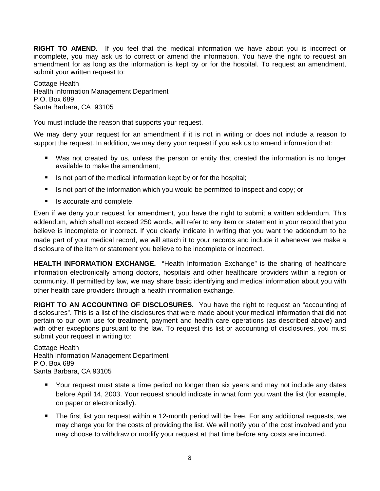**RIGHT TO AMEND.** If you feel that the medical information we have about you is incorrect or incomplete, you may ask us to correct or amend the information. You have the right to request an amendment for as long as the information is kept by or for the hospital. To request an amendment, submit your written request to:

Cottage Health Health Information Management Department P.O. Box 689 Santa Barbara, CA 93105

You must include the reason that supports your request.

We may deny your request for an amendment if it is not in writing or does not include a reason to support the request. In addition, we may deny your request if you ask us to amend information that:

- Was not created by us, unless the person or entity that created the information is no longer available to make the amendment;
- $\blacksquare$  Is not part of the medical information kept by or for the hospital;
- If is not part of the information which you would be permitted to inspect and copy; or
- Is accurate and complete.

Even if we deny your request for amendment, you have the right to submit a written addendum. This addendum, which shall not exceed 250 words, will refer to any item or statement in your record that you believe is incomplete or incorrect. If you clearly indicate in writing that you want the addendum to be made part of your medical record, we will attach it to your records and include it whenever we make a disclosure of the item or statement you believe to be incomplete or incorrect.

**HEALTH INFORMATION EXCHANGE.** "Health Information Exchange" is the sharing of healthcare information electronically among doctors, hospitals and other healthcare providers within a region or community. If permitted by law, we may share basic identifying and medical information about you with other health care providers through a health information exchange.

**RIGHT TO AN ACCOUNTING OF DISCLOSURES.** You have the right to request an "accounting of disclosures". This is a list of the disclosures that were made about your medical information that did not pertain to our own use for treatment, payment and health care operations (as described above) and with other exceptions pursuant to the law. To request this list or accounting of disclosures, you must submit your request in writing to:

Cottage Health Health Information Management Department P.O. Box 689 Santa Barbara, CA 93105

- Your request must state a time period no longer than six years and may not include any dates before April 14, 2003. Your request should indicate in what form you want the list (for example, on paper or electronically).
- The first list you request within a 12-month period will be free. For any additional requests, we may charge you for the costs of providing the list. We will notify you of the cost involved and you may choose to withdraw or modify your request at that time before any costs are incurred.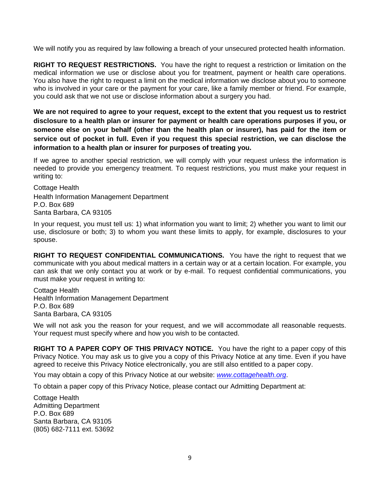We will notify you as required by law following a breach of your unsecured protected health information.

**RIGHT TO REQUEST RESTRICTIONS.** You have the right to request a restriction or limitation on the medical information we use or disclose about you for treatment, payment or health care operations. You also have the right to request a limit on the medical information we disclose about you to someone who is involved in your care or the payment for your care, like a family member or friend. For example, you could ask that we not use or disclose information about a surgery you had.

**We are not required to agree to your request, except to the extent that you request us to restrict disclosure to a health plan or insurer for payment or health care operations purposes if you, or someone else on your behalf (other than the health plan or insurer), has paid for the item or service out of pocket in full. Even if you request this special restriction, we can disclose the information to a health plan or insurer for purposes of treating you.** 

If we agree to another special restriction, we will comply with your request unless the information is needed to provide you emergency treatment. To request restrictions, you must make your request in writing to:

Cottage Health Health Information Management Department P.O. Box 689 Santa Barbara, CA 93105

In your request, you must tell us: 1) what information you want to limit; 2) whether you want to limit our use, disclosure or both; 3) to whom you want these limits to apply, for example, disclosures to your spouse.

**RIGHT TO REQUEST CONFIDENTIAL COMMUNICATIONS.** You have the right to request that we communicate with you about medical matters in a certain way or at a certain location. For example, you can ask that we only contact you at work or by e-mail. To request confidential communications, you must make your request in writing to:

Cottage Health Health Information Management Department P.O. Box 689 Santa Barbara, CA 93105

We will not ask you the reason for your request, and we will accommodate all reasonable requests. Your request must specify where and how you wish to be contacted.

**RIGHT TO A PAPER COPY OF THIS PRIVACY NOTICE.** You have the right to a paper copy of this Privacy Notice. You may ask us to give you a copy of this Privacy Notice at any time. Even if you have agreed to receive this Privacy Notice electronically, you are still also entitled to a paper copy.

You may obtain a copy of this Privacy Notice at our website: *www.cottagehealth.org*.

To obtain a paper copy of this Privacy Notice, please contact our Admitting Department at:

Cottage Health Admitting Department P.O. Box 689 Santa Barbara, CA 93105 (805) 682-7111 ext. 53692